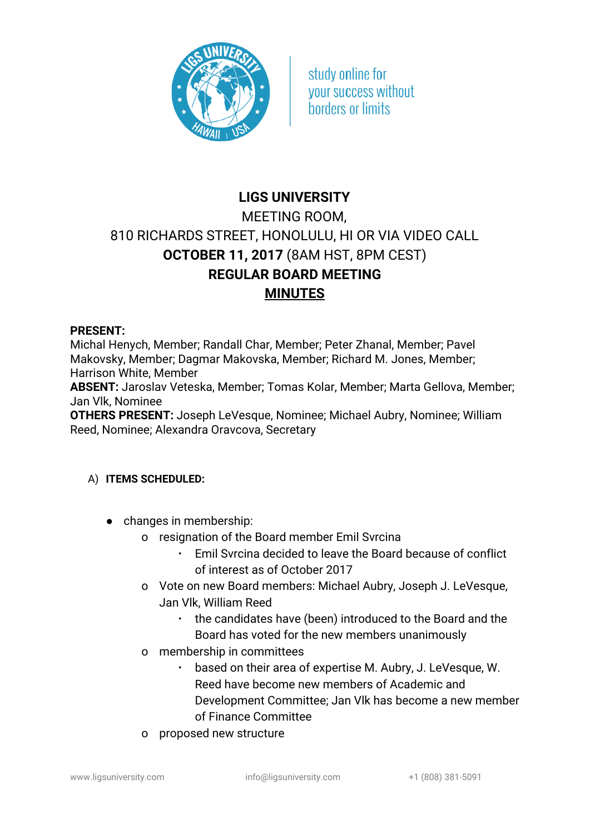

study online for **vour success without** horders or limits

## **LIGS UNIVERSITY**

# MEETING ROOM, 810 RICHARDS STREET, HONOLULU, HI OR VIA VIDEO CALL **OCTOBER 11, 2017** (8AM HST, 8PM CEST) **REGULAR BOARD MEETING MINUTES**

### **PRESENT:**

Michal Henych, Member; Randall Char, Member; Peter Zhanal, Member; Pavel Makovsky, Member; Dagmar Makovska, Member; Richard M. Jones, Member; Harrison White, Member

**ABSENT:** Jaroslav Veteska, Member; Tomas Kolar, Member; Marta Gellova, Member; Jan Vlk, Nominee

**OTHERS PRESENT:** Joseph LeVesque, Nominee; Michael Aubry, Nominee; William Reed, Nominee; Alexandra Oravcova, Secretary

### A) **ITEMS SCHEDULED:**

- changes in membership:
	- o resignation of the Board member Emil Svrcina
		- Emil Svrcina decided to leave the Board because of conflict of interest as of October 2017
	- o Vote on new Board members: Michael Aubry, Joseph J. LeVesque, Jan Vlk, William Reed
		- the candidates have (been) introduced to the Board and the Board has voted for the new members unanimously
	- o membership in committees
		- based on their area of expertise M. Aubry, J. LeVesque, W. Reed have become new members of Academic and Development Committee; Jan Vlk has become a new member of Finance Committee
	- o proposed new structure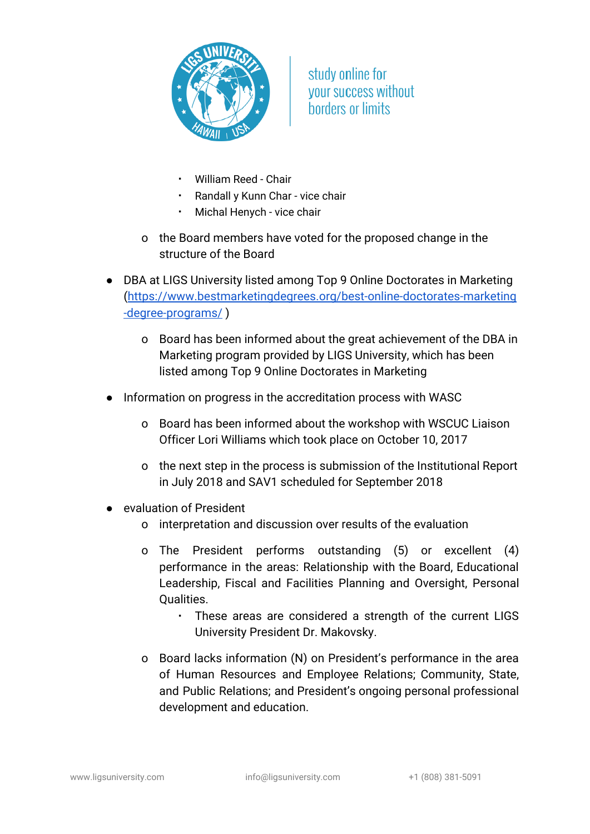

study online for **vour success without** horders or limits

- William Reed Chair
- Randall y Kunn Char vice chair
- Michal Henych vice chair
- o the Board members have voted for the proposed change in the structure of the Board
- DBA at LIGS University listed among Top 9 Online Doctorates in Marketing [\(https://www.bestmarketingdegrees.org/best-online-doctorates-marketing](https://www.bestmarketingdegrees.org/best-online-doctorates-marketing-degree-programs/) [-degree-programs/](https://www.bestmarketingdegrees.org/best-online-doctorates-marketing-degree-programs/) )
	- o Board has been informed about the great achievement of the DBA in Marketing program provided by LIGS University, which has been listed among Top 9 Online Doctorates in Marketing
- Information on progress in the accreditation process with WASC
	- o Board has been informed about the workshop with WSCUC Liaison Officer Lori Williams which took place on October 10, 2017
	- o the next step in the process is submission of the Institutional Report in July 2018 and SAV1 scheduled for September 2018
- evaluation of President
	- o interpretation and discussion over results of the evaluation
	- o The President performs outstanding (5) or excellent (4) performance in the areas: Relationship with the Board, Educational Leadership, Fiscal and Facilities Planning and Oversight, Personal Qualities.
		- These areas are considered a strength of the current LIGS University President Dr. Makovsky.
	- o Board lacks information (N) on President's performance in the area of Human Resources and Employee Relations; Community, State, and Public Relations; and President's ongoing personal professional development and education.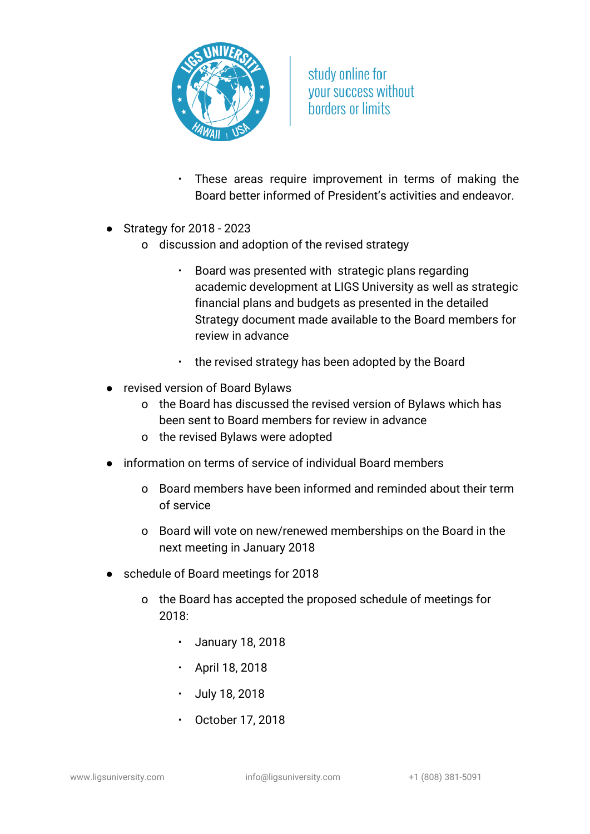

- These areas require improvement in terms of making the Board better informed of President's activities and endeavor.
- Strategy for 2018 2023
	- o discussion and adoption of the revised strategy
		- Board was presented with strategic plans regarding academic development at LIGS University as well as strategic financial plans and budgets as presented in the detailed Strategy document made available to the Board members for review in advance
		- the revised strategy has been adopted by the Board
- revised version of Board Bylaws
	- o the Board has discussed the revised version of Bylaws which has been sent to Board members for review in advance
	- o the revised Bylaws were adopted
- information on terms of service of individual Board members
	- o Board members have been informed and reminded about their term of service
	- o Board will vote on new/renewed memberships on the Board in the next meeting in January 2018
- schedule of Board meetings for 2018
	- o the Board has accepted the proposed schedule of meetings for 2018:
		- January 18, 2018
		- April 18, 2018
		- July 18, 2018
		- October 17, 2018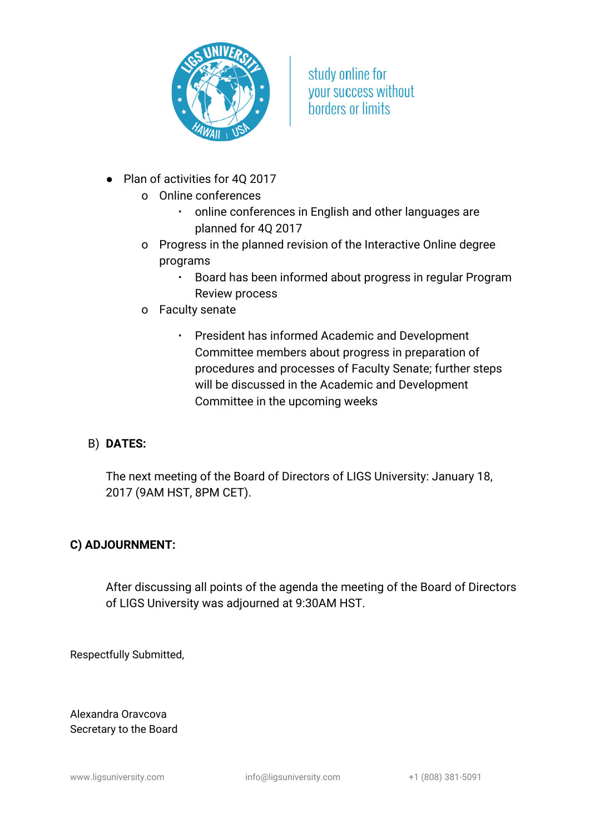

study online for your success without **horders or limits** 

- Plan of activities for 4Q 2017
	- o Online conferences
		- online conferences in English and other languages are planned for 4Q 2017
	- o Progress in the planned revision of the Interactive Online degree programs
		- Board has been informed about progress in regular Program Review process
	- o Faculty senate
		- President has informed Academic and Development Committee members about progress in preparation of procedures and processes of Faculty Senate; further steps will be discussed in the Academic and Development Committee in the upcoming weeks

### B) **DATES:**

The next meeting of the Board of Directors of LIGS University: January 18, 2017 (9AM HST, 8PM CET).

### **C) ADJOURNMENT:**

After discussing all points of the agenda the meeting of the Board of Directors of LIGS University was adjourned at 9:30AM HST.

Respectfully Submitted,

Alexandra Oravcova Secretary to the Board